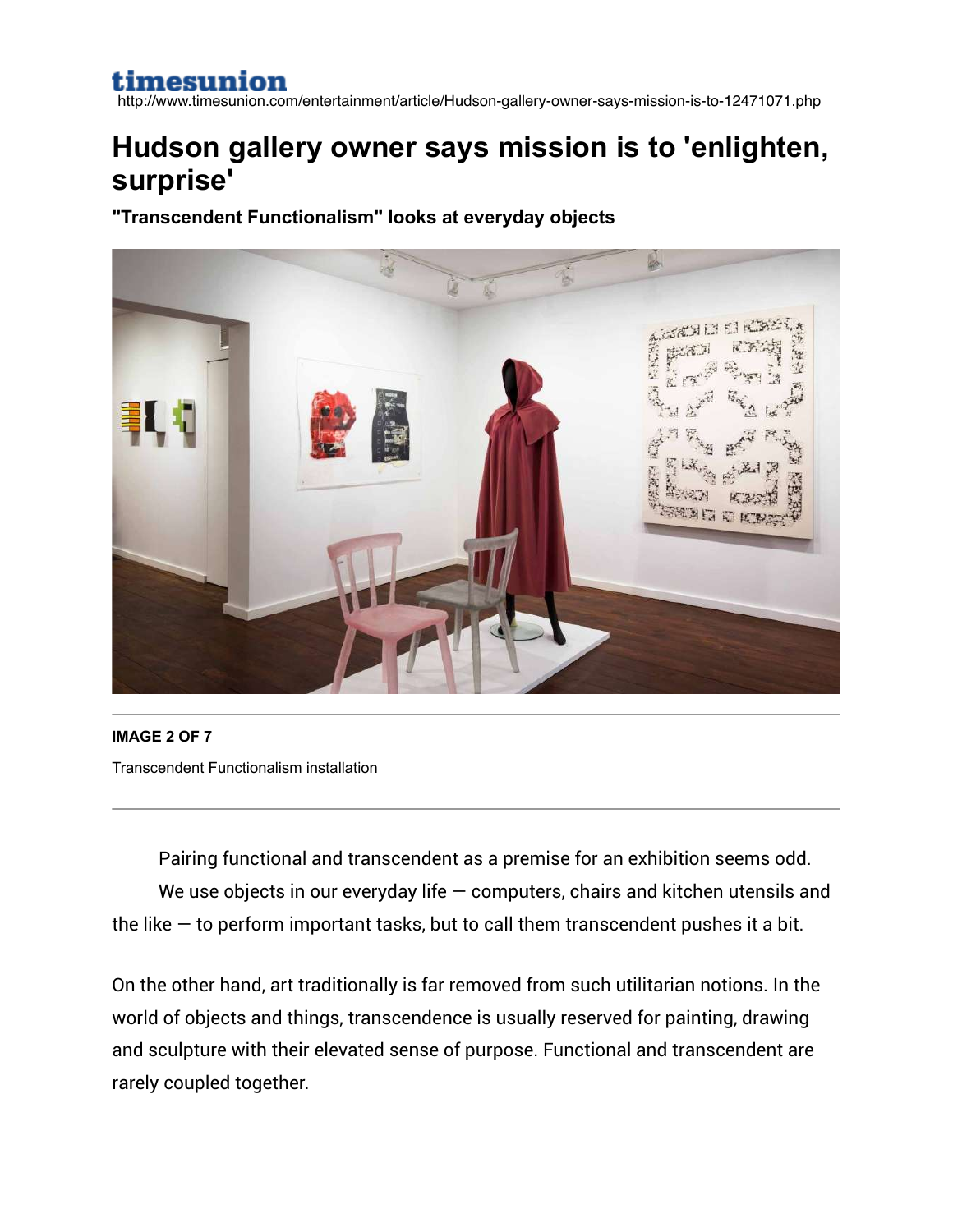http://www.timesunion.com/entertainment/article/Hudson-gallery-owner-says-mission-is-to-12471071.php

## **Hudson gallery owner says mission is to 'enlighten, surprise'**

**"Transcendent Functionalism" looks at everyday objects**



**IMAGE 2 OF 7** Transcendent Functionalism installation

Pairing functional and transcendent as a premise for an exhibition seems odd. We use objects in our everyday life  $-$  computers, chairs and kitchen utensils and the like  $-$  to perform important tasks, but to call them transcendent pushes it a bit.

On the other hand, art traditionally is far removed from such utilitarian notions. In the world of objects and things, transcendence is usually reserved for painting, drawing and sculpture with their elevated sense of purpose. Functional and transcendent are rarely coupled together.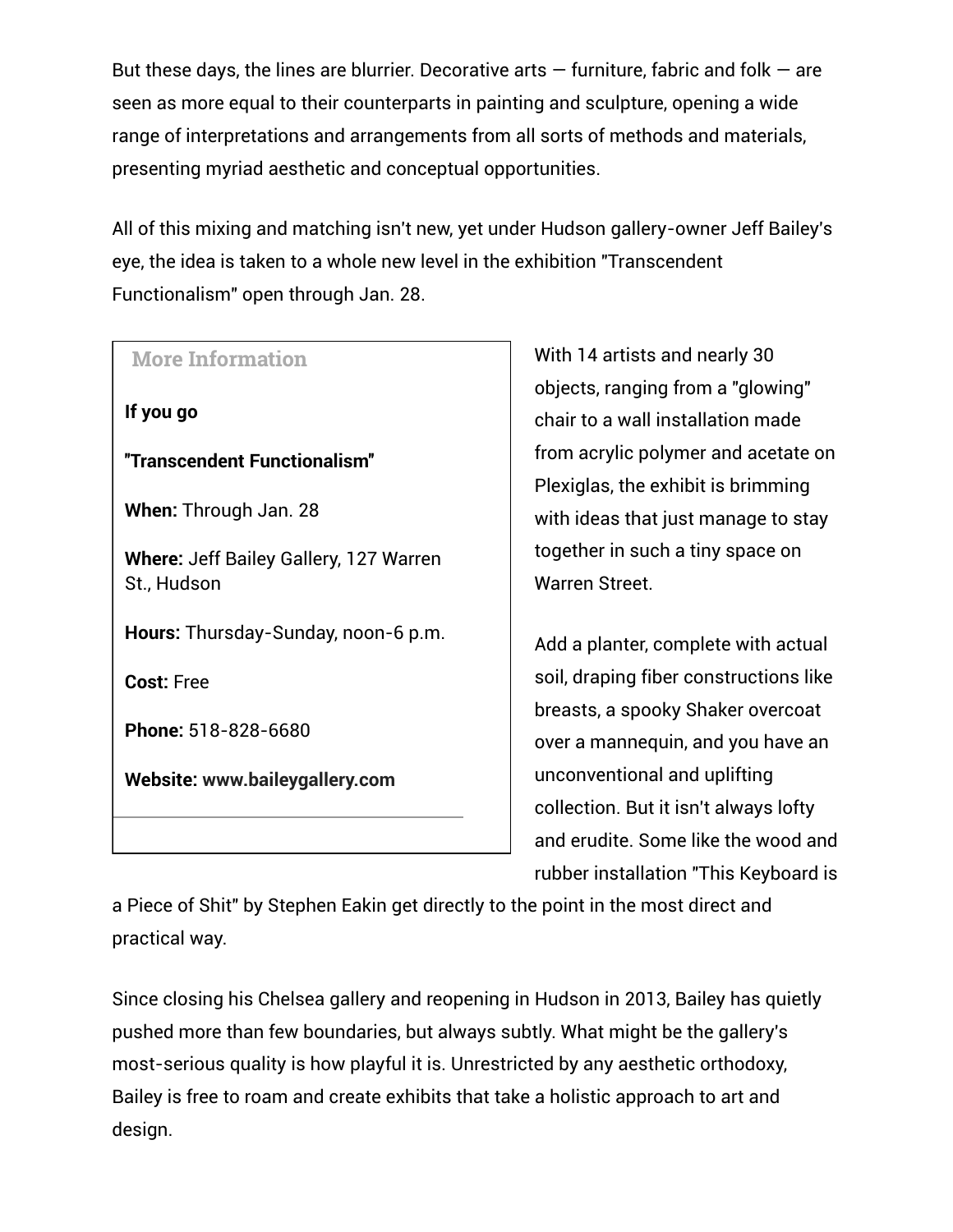But these days, the lines are blurrier. Decorative arts  $-$  furniture, fabric and folk  $-$  are seen as more equal to their counterparts in painting and sculpture, opening a wide range of interpretations and arrangements from all sorts of methods and materials, presenting myriad aesthetic and conceptual opportunities.

All of this mixing and matching isn't new, yet under Hudson gallery-owner Jeff Bailey's eye, the idea is taken to a whole new level in the exhibition "Transcendent Functionalism" open through Jan. 28.

## **More Information** If you go ''Transcendent Functionalism'' When: Through Jan. 28 Where: Jeff Bailey Gallery, 127 Warren St., Hudson Hours: Thursday-Sunday, noon-6 p.m. Cost: Free Phone: 518-828-6680 Website: www.baileygallery.com

With 14 artists and nearly 30 objects, ranging from a "glowing" chair to a wall installation made from acrylic polymer and acetate on Plexiglas, the exhibit is brimming with ideas that just manage to stay together in such a tiny space on Warren Street.

Add a planter, complete with actual soil, draping fiber constructions like breasts, a spooky Shaker overcoat over a mannequin, and you have an unconventional and uplifting collection. But it isn't always lofty and erudite. Some like the wood and rubber installation "This Keyboard is

a Piece of Shit" by Stephen Eakin get directly to the point in the most direct and practical way.

Since closing his Chelsea gallery and reopening in Hudson in 2013, Bailey has quietly pushed more than few boundaries, but always subtly. What might be the gallery's most-serious quality is how playful it is. Unrestricted by any aesthetic orthodoxy, Bailey is free to roam and create exhibits that take a holistic approach to art and design.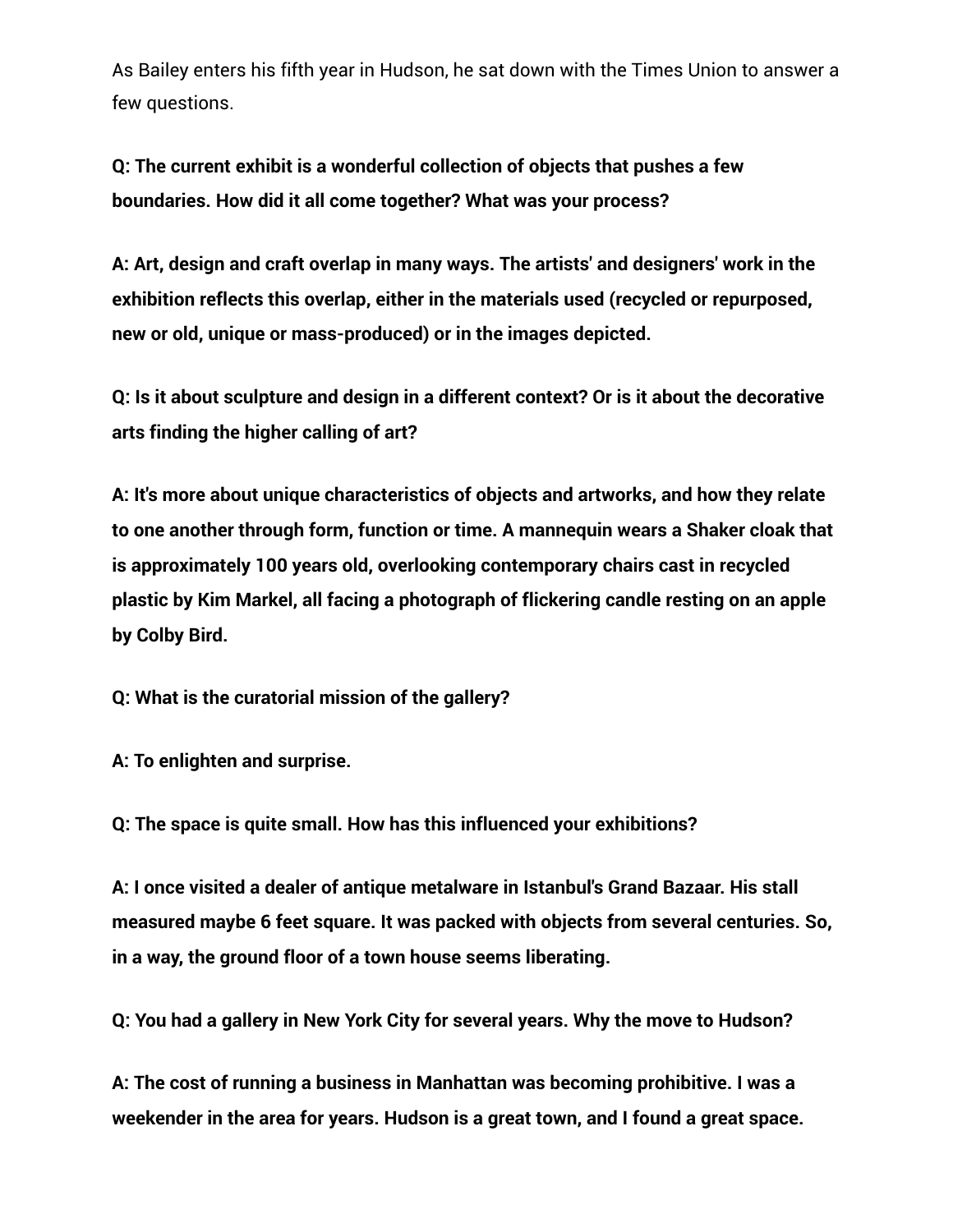As Bailey enters his fifth year in Hudson, he sat down with the Times Union to answer a few questions.

Q: The current exhibit is a wonderful collection of objects that pushes a few boundaries. How did it all come together? What was your process?

A: Art, design and craft overlap in many ways. The artists' and designers' work in the exhibition reflects this overlap, either in the materials used (recycled or repurposed, new or old, unique or mass-produced) or in the images depicted.

Q: Is it about sculpture and design in a different context? Or is it about the decorative arts finding the higher calling of art?

A: It's more about unique characteristics of objects and artworks, and how they relate to one another through form, function or time. A mannequin wears a Shaker cloak that is approximately 100 years old, overlooking contemporary chairs cast in recycled plastic by Kim Markel, all facing a photograph of flickering candle resting on an apple by Colby Bird.

Q: What is the curatorial mission of the gallery?

A: To enlighten and surprise.

Q: The space is quite small. How has this influenced your exhibitions?

A: I once visited a dealer of antique metalware in Istanbul's Grand Bazaar. His stall measured maybe 6 feet square. It was packed with objects from several centuries. So, in a way, the ground floor of a town house seems liberating.

Q: You had a gallery in New York City for several years. Why the move to Hudson?

A: The cost of running a business in Manhattan was becoming prohibitive. I was a weekender in the area for years. Hudson is a great town, and I found a great space.